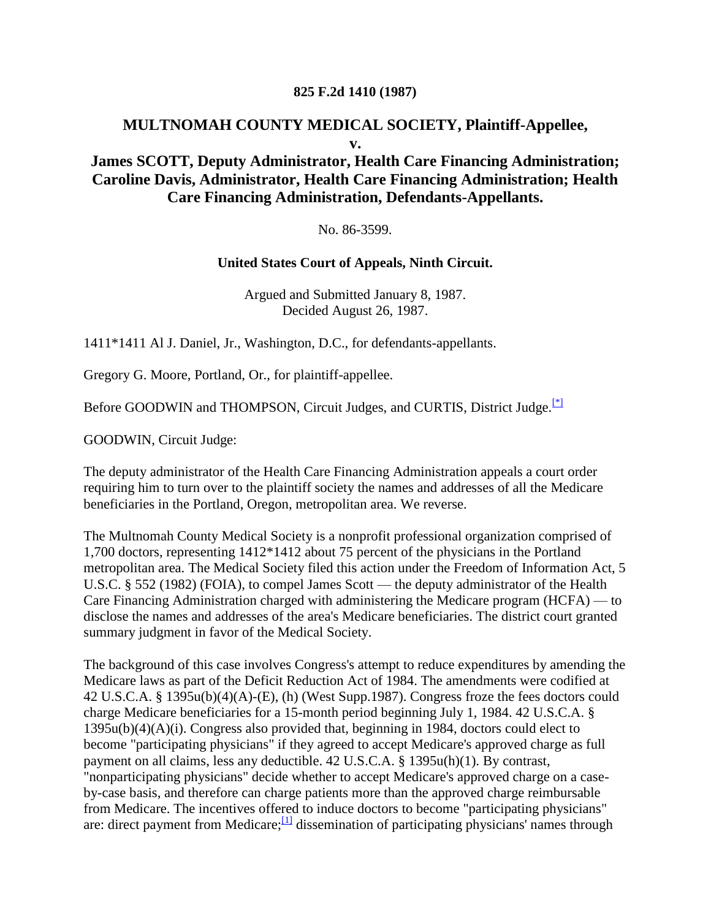#### **825 F.2d 1410 (1987)**

#### **MULTNOMAH COUNTY MEDICAL SOCIETY, Plaintiff-Appellee, v.**

### **James SCOTT, Deputy Administrator, Health Care Financing Administration; Caroline Davis, Administrator, Health Care Financing Administration; Health Care Financing Administration, Defendants-Appellants.**

No. 86-3599.

#### **United States Court of Appeals, Ninth Circuit.**

Argued and Submitted January 8, 1987. Decided August 26, 1987.

1411\*1411 Al J. Daniel, Jr., Washington, D.C., for defendants-appellants.

Gregory G. Moore, Portland, Or., for plaintiff-appellee.

Before GOODWIN and THOMPSON, Circuit Judges, and CURTIS, District Judge.<sup>[\[\\*\]](http://scholar.google.co.in/scholar_case?q=Multnomah+County+Medical+Society+v.+Scott&hl=en&as_sdt=2,5&case=17019065750877375750&scilh=0#[1])</sup>

GOODWIN, Circuit Judge:

The deputy administrator of the Health Care Financing Administration appeals a court order requiring him to turn over to the plaintiff society the names and addresses of all the Medicare beneficiaries in the Portland, Oregon, metropolitan area. We reverse.

The Multnomah County Medical Society is a nonprofit professional organization comprised of 1,700 doctors, representing 1412\*1412 about 75 percent of the physicians in the Portland metropolitan area. The Medical Society filed this action under the Freedom of Information Act, 5 U.S.C. § 552 (1982) (FOIA), to compel James Scott — the deputy administrator of the Health Care Financing Administration charged with administering the Medicare program (HCFA) — to disclose the names and addresses of the area's Medicare beneficiaries. The district court granted summary judgment in favor of the Medical Society.

The background of this case involves Congress's attempt to reduce expenditures by amending the Medicare laws as part of the Deficit Reduction Act of 1984. The amendments were codified at 42 U.S.C.A. § 1395u(b)(4)(A)-(E), (h) (West Supp.1987). Congress froze the fees doctors could charge Medicare beneficiaries for a 15-month period beginning July 1, 1984. 42 U.S.C.A. § 1395u(b)(4)(A)(i). Congress also provided that, beginning in 1984, doctors could elect to become "participating physicians" if they agreed to accept Medicare's approved charge as full payment on all claims, less any deductible. 42 U.S.C.A. § 1395u(h)(1). By contrast, "nonparticipating physicians" decide whether to accept Medicare's approved charge on a caseby-case basis, and therefore can charge patients more than the approved charge reimbursable from Medicare. The incentives offered to induce doctors to become "participating physicians" are: direct payment from Medicare;  $\frac{11}{2}$  dissemination of participating physicians' names through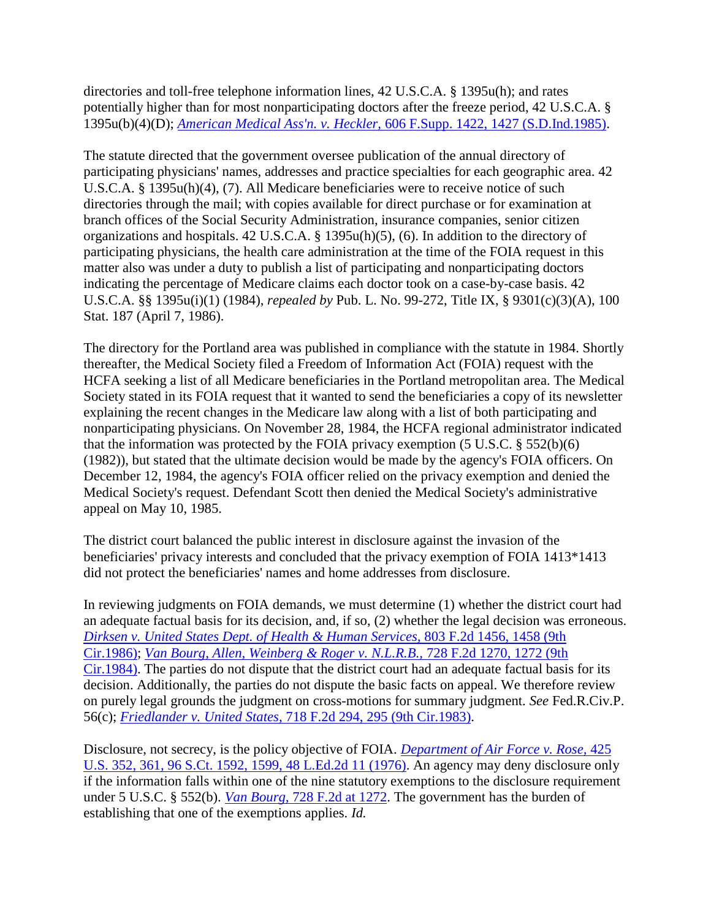directories and toll-free telephone information lines, 42 U.S.C.A. § 1395u(h); and rates potentially higher than for most nonparticipating doctors after the freeze period, 42 U.S.C.A. § 1395u(b)(4)(D); *American Medical Ass'n. v. Heckler,* [606 F.Supp. 1422, 1427 \(S.D.Ind.1985\).](http://scholar.google.co.in/scholar_case?case=3282333316093938830&q=Multnomah+County+Medical+Society+v.+Scott&hl=en&as_sdt=2,5&scilh=0)

The statute directed that the government oversee publication of the annual directory of participating physicians' names, addresses and practice specialties for each geographic area. 42 U.S.C.A. § 1395u(h)(4), (7). All Medicare beneficiaries were to receive notice of such directories through the mail; with copies available for direct purchase or for examination at branch offices of the Social Security Administration, insurance companies, senior citizen organizations and hospitals. 42 U.S.C.A. § 1395u(h)(5), (6). In addition to the directory of participating physicians, the health care administration at the time of the FOIA request in this matter also was under a duty to publish a list of participating and nonparticipating doctors indicating the percentage of Medicare claims each doctor took on a case-by-case basis. 42 U.S.C.A. §§ 1395u(i)(1) (1984), *repealed by* Pub. L. No. 99-272, Title IX, § 9301(c)(3)(A), 100 Stat. 187 (April 7, 1986).

The directory for the Portland area was published in compliance with the statute in 1984. Shortly thereafter, the Medical Society filed a Freedom of Information Act (FOIA) request with the HCFA seeking a list of all Medicare beneficiaries in the Portland metropolitan area. The Medical Society stated in its FOIA request that it wanted to send the beneficiaries a copy of its newsletter explaining the recent changes in the Medicare law along with a list of both participating and nonparticipating physicians. On November 28, 1984, the HCFA regional administrator indicated that the information was protected by the FOIA privacy exemption (5 U.S.C. § 552(b)(6) (1982)), but stated that the ultimate decision would be made by the agency's FOIA officers. On December 12, 1984, the agency's FOIA officer relied on the privacy exemption and denied the Medical Society's request. Defendant Scott then denied the Medical Society's administrative appeal on May 10, 1985.

The district court balanced the public interest in disclosure against the invasion of the beneficiaries' privacy interests and concluded that the privacy exemption of FOIA 1413\*1413 did not protect the beneficiaries' names and home addresses from disclosure.

In reviewing judgments on FOIA demands, we must determine (1) whether the district court had an adequate factual basis for its decision, and, if so, (2) whether the legal decision was erroneous. *[Dirksen v. United States Dept. of Health & Human Services,](http://scholar.google.co.in/scholar_case?case=17044440477156637037&q=Multnomah+County+Medical+Society+v.+Scott&hl=en&as_sdt=2,5&scilh=0)* 803 F.2d 1456, 1458 (9th [Cir.1986\);](http://scholar.google.co.in/scholar_case?case=17044440477156637037&q=Multnomah+County+Medical+Society+v.+Scott&hl=en&as_sdt=2,5&scilh=0) *[Van Bourg, Allen, Weinberg & Roger v. N.L.R.B.,](http://scholar.google.co.in/scholar_case?case=16343593370441817227&q=Multnomah+County+Medical+Society+v.+Scott&hl=en&as_sdt=2,5&scilh=0)* 728 F.2d 1270, 1272 (9th [Cir.1984\).](http://scholar.google.co.in/scholar_case?case=16343593370441817227&q=Multnomah+County+Medical+Society+v.+Scott&hl=en&as_sdt=2,5&scilh=0) The parties do not dispute that the district court had an adequate factual basis for its decision. Additionally, the parties do not dispute the basic facts on appeal. We therefore review on purely legal grounds the judgment on cross-motions for summary judgment. *See* Fed.R.Civ.P. 56(c); *[Friedlander v. United States,](http://scholar.google.co.in/scholar_case?case=4290394242046609651&q=Multnomah+County+Medical+Society+v.+Scott&hl=en&as_sdt=2,5&scilh=0)* 718 F.2d 294, 295 (9th Cir.1983).

Disclosure, not secrecy, is the policy objective of FOIA. *[Department of Air Force v. Rose,](http://scholar.google.co.in/scholar_case?case=8095363434965941719&q=Multnomah+County+Medical+Society+v.+Scott&hl=en&as_sdt=2,5&scilh=0)* 425 [U.S. 352, 361, 96 S.Ct. 1592, 1599, 48 L.Ed.2d 11 \(1976\).](http://scholar.google.co.in/scholar_case?case=8095363434965941719&q=Multnomah+County+Medical+Society+v.+Scott&hl=en&as_sdt=2,5&scilh=0) An agency may deny disclosure only if the information falls within one of the nine statutory exemptions to the disclosure requirement under 5 U.S.C. § 552(b). *Van Bourg,* [728 F.2d at 1272.](http://scholar.google.co.in/scholar_case?case=16343593370441817227&q=Multnomah+County+Medical+Society+v.+Scott&hl=en&as_sdt=2,5&scilh=0) The government has the burden of establishing that one of the exemptions applies. *Id.*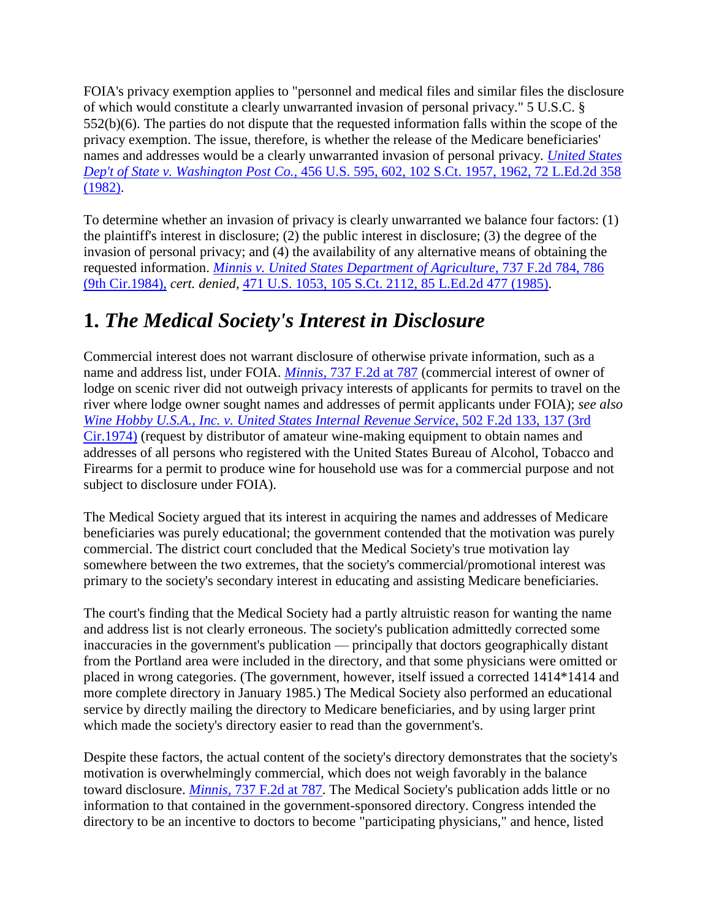FOIA's privacy exemption applies to "personnel and medical files and similar files the disclosure of which would constitute a clearly unwarranted invasion of personal privacy." 5 U.S.C. § 552(b)(6). The parties do not dispute that the requested information falls within the scope of the privacy exemption. The issue, therefore, is whether the release of the Medicare beneficiaries' names and addresses would be a clearly unwarranted invasion of personal privacy. *[United States](http://scholar.google.co.in/scholar_case?case=14121020398862665796&q=Multnomah+County+Medical+Society+v.+Scott&hl=en&as_sdt=2,5&scilh=0)  Dep't of State v. Washington Post Co.,* [456 U.S. 595, 602, 102 S.Ct. 1957, 1962, 72 L.Ed.2d 358](http://scholar.google.co.in/scholar_case?case=14121020398862665796&q=Multnomah+County+Medical+Society+v.+Scott&hl=en&as_sdt=2,5&scilh=0)  [\(1982\).](http://scholar.google.co.in/scholar_case?case=14121020398862665796&q=Multnomah+County+Medical+Society+v.+Scott&hl=en&as_sdt=2,5&scilh=0)

To determine whether an invasion of privacy is clearly unwarranted we balance four factors: (1) the plaintiff's interest in disclosure; (2) the public interest in disclosure; (3) the degree of the invasion of personal privacy; and (4) the availability of any alternative means of obtaining the requested information. *[Minnis v. United States Department of Agriculture,](http://scholar.google.co.in/scholar_case?case=11235914770851497968&q=Multnomah+County+Medical+Society+v.+Scott&hl=en&as_sdt=2,5&scilh=0)* 737 F.2d 784, 786 [\(9th Cir.1984\),](http://scholar.google.co.in/scholar_case?case=11235914770851497968&q=Multnomah+County+Medical+Society+v.+Scott&hl=en&as_sdt=2,5&scilh=0) *cert. denied,* [471 U.S. 1053, 105 S.Ct. 2112, 85 L.Ed.2d 477 \(1985\).](http://scholar.google.co.in/scholar_case?about=17157776625326474191&q=Multnomah+County+Medical+Society+v.+Scott&hl=en&as_sdt=2,5&scilh=0)

### **1.** *The Medical Society's Interest in Disclosure*

Commercial interest does not warrant disclosure of otherwise private information, such as a name and address list, under FOIA. *Minnis,* [737 F.2d at 787](http://scholar.google.co.in/scholar_case?case=11235914770851497968&q=Multnomah+County+Medical+Society+v.+Scott&hl=en&as_sdt=2,5&scilh=0) (commercial interest of owner of lodge on scenic river did not outweigh privacy interests of applicants for permits to travel on the river where lodge owner sought names and addresses of permit applicants under FOIA); *see also [Wine Hobby U.S.A., Inc. v. United States Internal Revenue Service,](http://scholar.google.co.in/scholar_case?case=7827083499371390039&q=Multnomah+County+Medical+Society+v.+Scott&hl=en&as_sdt=2,5&scilh=0)* 502 F.2d 133, 137 (3rd [Cir.1974\)](http://scholar.google.co.in/scholar_case?case=7827083499371390039&q=Multnomah+County+Medical+Society+v.+Scott&hl=en&as_sdt=2,5&scilh=0) (request by distributor of amateur wine-making equipment to obtain names and addresses of all persons who registered with the United States Bureau of Alcohol, Tobacco and Firearms for a permit to produce wine for household use was for a commercial purpose and not subject to disclosure under FOIA).

The Medical Society argued that its interest in acquiring the names and addresses of Medicare beneficiaries was purely educational; the government contended that the motivation was purely commercial. The district court concluded that the Medical Society's true motivation lay somewhere between the two extremes, that the society's commercial/promotional interest was primary to the society's secondary interest in educating and assisting Medicare beneficiaries.

The court's finding that the Medical Society had a partly altruistic reason for wanting the name and address list is not clearly erroneous. The society's publication admittedly corrected some inaccuracies in the government's publication — principally that doctors geographically distant from the Portland area were included in the directory, and that some physicians were omitted or placed in wrong categories. (The government, however, itself issued a corrected 1414\*1414 and more complete directory in January 1985.) The Medical Society also performed an educational service by directly mailing the directory to Medicare beneficiaries, and by using larger print which made the society's directory easier to read than the government's.

Despite these factors, the actual content of the society's directory demonstrates that the society's motivation is overwhelmingly commercial, which does not weigh favorably in the balance toward disclosure. *Minnis,* [737 F.2d at 787.](http://scholar.google.co.in/scholar_case?case=11235914770851497968&q=Multnomah+County+Medical+Society+v.+Scott&hl=en&as_sdt=2,5&scilh=0) The Medical Society's publication adds little or no information to that contained in the government-sponsored directory. Congress intended the directory to be an incentive to doctors to become "participating physicians," and hence, listed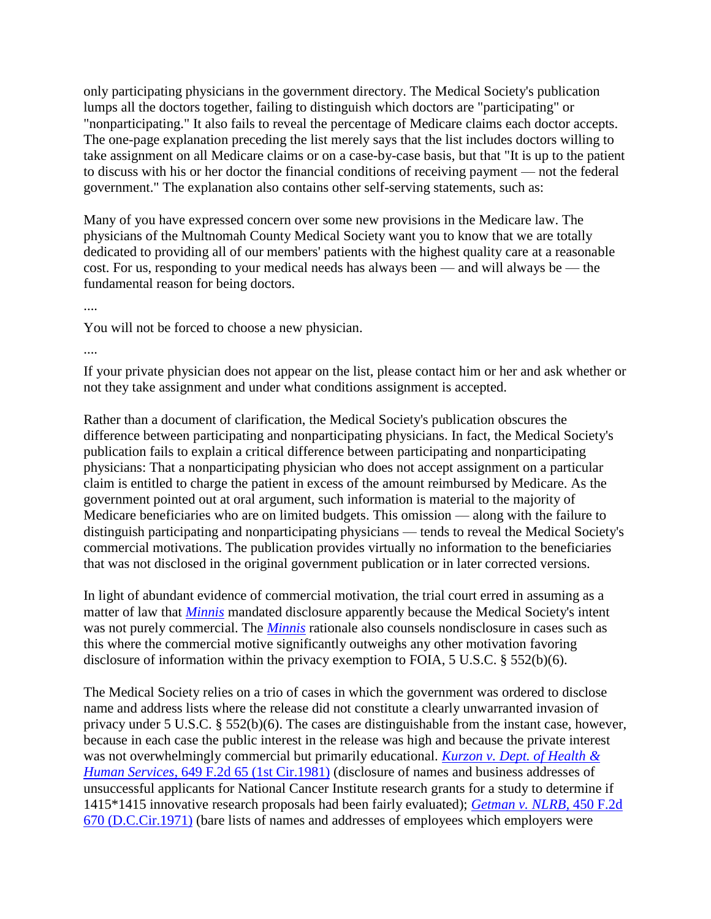only participating physicians in the government directory. The Medical Society's publication lumps all the doctors together, failing to distinguish which doctors are "participating" or "nonparticipating." It also fails to reveal the percentage of Medicare claims each doctor accepts. The one-page explanation preceding the list merely says that the list includes doctors willing to take assignment on all Medicare claims or on a case-by-case basis, but that "It is up to the patient to discuss with his or her doctor the financial conditions of receiving payment — not the federal government." The explanation also contains other self-serving statements, such as:

Many of you have expressed concern over some new provisions in the Medicare law. The physicians of the Multnomah County Medical Society want you to know that we are totally dedicated to providing all of our members' patients with the highest quality care at a reasonable cost. For us, responding to your medical needs has always been — and will always be — the fundamental reason for being doctors.

....

You will not be forced to choose a new physician.

....

If your private physician does not appear on the list, please contact him or her and ask whether or not they take assignment and under what conditions assignment is accepted.

Rather than a document of clarification, the Medical Society's publication obscures the difference between participating and nonparticipating physicians. In fact, the Medical Society's publication fails to explain a critical difference between participating and nonparticipating physicians: That a nonparticipating physician who does not accept assignment on a particular claim is entitled to charge the patient in excess of the amount reimbursed by Medicare. As the government pointed out at oral argument, such information is material to the majority of Medicare beneficiaries who are on limited budgets. This omission — along with the failure to distinguish participating and nonparticipating physicians — tends to reveal the Medical Society's commercial motivations. The publication provides virtually no information to the beneficiaries that was not disclosed in the original government publication or in later corrected versions.

In light of abundant evidence of commercial motivation, the trial court erred in assuming as a matter of law that *[Minnis](http://scholar.google.co.in/scholar_case?case=11235914770851497968&q=Multnomah+County+Medical+Society+v.+Scott&hl=en&as_sdt=2,5&scilh=0)* mandated disclosure apparently because the Medical Society's intent was not purely commercial. The *[Minnis](http://scholar.google.co.in/scholar_case?case=11235914770851497968&q=Multnomah+County+Medical+Society+v.+Scott&hl=en&as_sdt=2,5&scilh=0)* rationale also counsels nondisclosure in cases such as this where the commercial motive significantly outweighs any other motivation favoring disclosure of information within the privacy exemption to FOIA, 5 U.S.C. § 552(b)(6).

The Medical Society relies on a trio of cases in which the government was ordered to disclose name and address lists where the release did not constitute a clearly unwarranted invasion of privacy under 5 U.S.C. § 552(b)(6). The cases are distinguishable from the instant case, however, because in each case the public interest in the release was high and because the private interest was not overwhelmingly commercial but primarily educational. *[Kurzon v. Dept. of Health &](http://scholar.google.co.in/scholar_case?case=15983840857317779030&q=Multnomah+County+Medical+Society+v.+Scott&hl=en&as_sdt=2,5&scilh=0)  Human Services,* [649 F.2d 65 \(1st Cir.1981\)](http://scholar.google.co.in/scholar_case?case=15983840857317779030&q=Multnomah+County+Medical+Society+v.+Scott&hl=en&as_sdt=2,5&scilh=0) (disclosure of names and business addresses of unsuccessful applicants for National Cancer Institute research grants for a study to determine if 1415\*1415 innovative research proposals had been fairly evaluated); *[Getman v. NLRB,](http://scholar.google.co.in/scholar_case?case=16633075948661152161&q=Multnomah+County+Medical+Society+v.+Scott&hl=en&as_sdt=2,5&scilh=0)* 450 F.2d [670 \(D.C.Cir.1971\)](http://scholar.google.co.in/scholar_case?case=16633075948661152161&q=Multnomah+County+Medical+Society+v.+Scott&hl=en&as_sdt=2,5&scilh=0) (bare lists of names and addresses of employees which employers were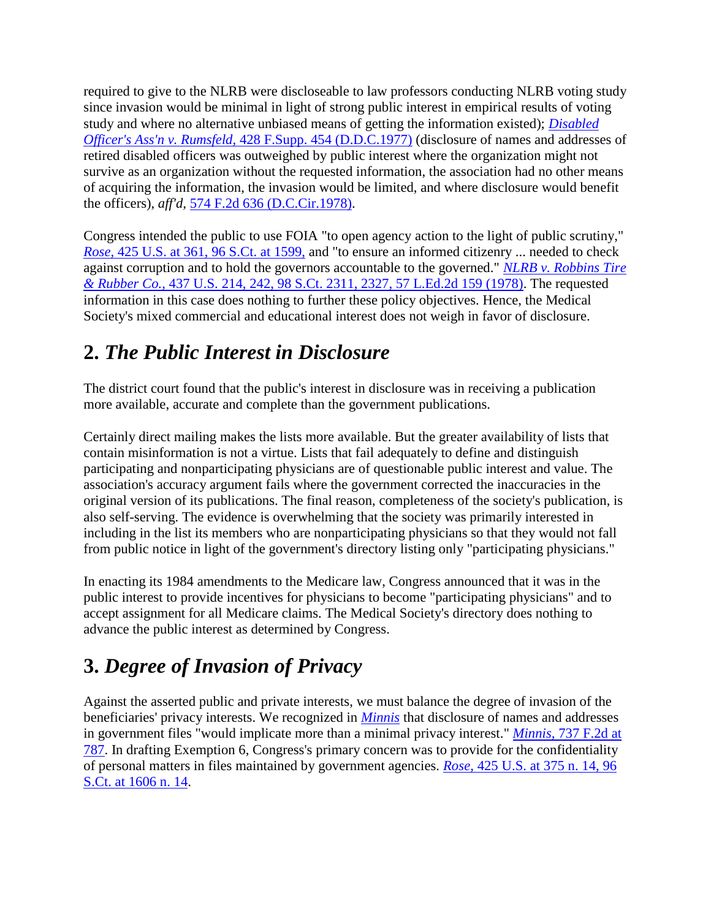required to give to the NLRB were discloseable to law professors conducting NLRB voting study since invasion would be minimal in light of strong public interest in empirical results of voting study and where no alternative unbiased means of getting the information existed); *[Disabled](http://scholar.google.co.in/scholar_case?case=9848515290874217749&q=Multnomah+County+Medical+Society+v.+Scott&hl=en&as_sdt=2,5&scilh=0)  Officer's Ass'n v. Rumsfeld,* [428 F.Supp. 454 \(D.D.C.1977\)](http://scholar.google.co.in/scholar_case?case=9848515290874217749&q=Multnomah+County+Medical+Society+v.+Scott&hl=en&as_sdt=2,5&scilh=0) (disclosure of names and addresses of retired disabled officers was outweighed by public interest where the organization might not survive as an organization without the requested information, the association had no other means of acquiring the information, the invasion would be limited, and where disclosure would benefit the officers), *aff'd,* [574 F.2d 636 \(D.C.Cir.1978\).](http://scholar.google.co.in/scholar_case?about=16270656121703970392&q=Multnomah+County+Medical+Society+v.+Scott&hl=en&as_sdt=2,5&scilh=0)

Congress intended the public to use FOIA "to open agency action to the light of public scrutiny," *Rose,* [425 U.S. at 361, 96 S.Ct. at 1599,](http://scholar.google.co.in/scholar_case?case=8095363434965941719&q=Multnomah+County+Medical+Society+v.+Scott&hl=en&as_sdt=2,5&scilh=0) and "to ensure an informed citizenry ... needed to check against corruption and to hold the governors accountable to the governed." *[NLRB v. Robbins Tire](http://scholar.google.co.in/scholar_case?case=14831289413778362054&q=Multnomah+County+Medical+Society+v.+Scott&hl=en&as_sdt=2,5&scilh=0)  & Rubber Co.,* [437 U.S. 214, 242, 98 S.Ct. 2311, 2327, 57 L.Ed.2d 159 \(1978\).](http://scholar.google.co.in/scholar_case?case=14831289413778362054&q=Multnomah+County+Medical+Society+v.+Scott&hl=en&as_sdt=2,5&scilh=0) The requested information in this case does nothing to further these policy objectives. Hence, the Medical Society's mixed commercial and educational interest does not weigh in favor of disclosure.

## **2.** *The Public Interest in Disclosure*

The district court found that the public's interest in disclosure was in receiving a publication more available, accurate and complete than the government publications.

Certainly direct mailing makes the lists more available. But the greater availability of lists that contain misinformation is not a virtue. Lists that fail adequately to define and distinguish participating and nonparticipating physicians are of questionable public interest and value. The association's accuracy argument fails where the government corrected the inaccuracies in the original version of its publications. The final reason, completeness of the society's publication, is also self-serving. The evidence is overwhelming that the society was primarily interested in including in the list its members who are nonparticipating physicians so that they would not fall from public notice in light of the government's directory listing only "participating physicians."

In enacting its 1984 amendments to the Medicare law, Congress announced that it was in the public interest to provide incentives for physicians to become "participating physicians" and to accept assignment for all Medicare claims. The Medical Society's directory does nothing to advance the public interest as determined by Congress.

# **3.** *Degree of Invasion of Privacy*

Against the asserted public and private interests, we must balance the degree of invasion of the beneficiaries' privacy interests. We recognized in *[Minnis](http://scholar.google.co.in/scholar_case?case=11235914770851497968&q=Multnomah+County+Medical+Society+v.+Scott&hl=en&as_sdt=2,5&scilh=0)* that disclosure of names and addresses in government files "would implicate more than a minimal privacy interest." *Minnis,* [737 F.2d at](http://scholar.google.co.in/scholar_case?case=11235914770851497968&q=Multnomah+County+Medical+Society+v.+Scott&hl=en&as_sdt=2,5&scilh=0)  [787.](http://scholar.google.co.in/scholar_case?case=11235914770851497968&q=Multnomah+County+Medical+Society+v.+Scott&hl=en&as_sdt=2,5&scilh=0) In drafting Exemption 6, Congress's primary concern was to provide for the confidentiality of personal matters in files maintained by government agencies. *Rose,* [425 U.S. at 375 n. 14, 96](http://scholar.google.co.in/scholar_case?case=8095363434965941719&q=Multnomah+County+Medical+Society+v.+Scott&hl=en&as_sdt=2,5&scilh=0)  [S.Ct. at 1606 n. 14.](http://scholar.google.co.in/scholar_case?case=8095363434965941719&q=Multnomah+County+Medical+Society+v.+Scott&hl=en&as_sdt=2,5&scilh=0)